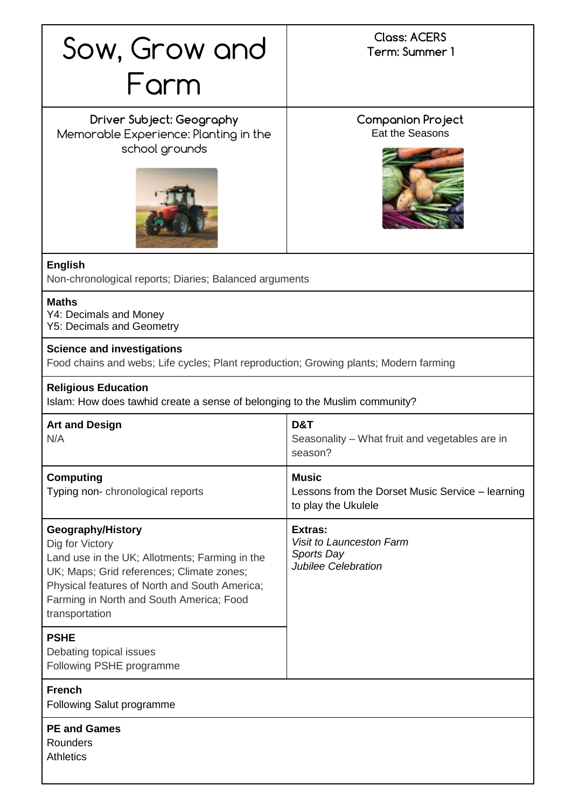|                                                                                                                                                                                                                                                    | <b>Closs: ACERS</b>                                                                     |
|----------------------------------------------------------------------------------------------------------------------------------------------------------------------------------------------------------------------------------------------------|-----------------------------------------------------------------------------------------|
| Sow, Grow and                                                                                                                                                                                                                                      | Term: Summer 1                                                                          |
| Farm                                                                                                                                                                                                                                               |                                                                                         |
|                                                                                                                                                                                                                                                    |                                                                                         |
| Driver Subject: Geography<br>Memorable Experience: Planting in the                                                                                                                                                                                 | <b>Companion Project</b><br>Eat the Seasons                                             |
| school grounds                                                                                                                                                                                                                                     |                                                                                         |
|                                                                                                                                                                                                                                                    |                                                                                         |
|                                                                                                                                                                                                                                                    |                                                                                         |
| <b>English</b><br>Non-chronological reports; Diaries; Balanced arguments                                                                                                                                                                           |                                                                                         |
| <b>Maths</b><br>Y4: Decimals and Money<br><b>Y5: Decimals and Geometry</b>                                                                                                                                                                         |                                                                                         |
| <b>Science and investigations</b><br>Food chains and webs; Life cycles; Plant reproduction; Growing plants; Modern farming                                                                                                                         |                                                                                         |
| <b>Religious Education</b><br>Islam: How does tawhid create a sense of belonging to the Muslim community?                                                                                                                                          |                                                                                         |
| <b>Art and Design</b><br>N/A                                                                                                                                                                                                                       | D&T<br>Seasonality – What fruit and vegetables are in<br>season?                        |
| <b>Computing</b><br>Typing non-chronological reports                                                                                                                                                                                               | <b>Music</b><br>Lessons from the Dorset Music Service - learning<br>to play the Ukulele |
| Geography/History<br>Dig for Victory<br>Land use in the UK; Allotments; Farming in the<br>UK; Maps; Grid references; Climate zones;<br>Physical features of North and South America;<br>Farming in North and South America; Food<br>transportation | Extras:<br>Visit to Launceston Farm<br>Sports Day<br>Jubilee Celebration                |
| <b>PSHE</b><br>Debating topical issues<br>Following PSHE programme                                                                                                                                                                                 |                                                                                         |
| <b>French</b><br><b>Following Salut programme</b>                                                                                                                                                                                                  |                                                                                         |
| <b>PE and Games</b><br>Rounders<br><b>Athletics</b>                                                                                                                                                                                                |                                                                                         |